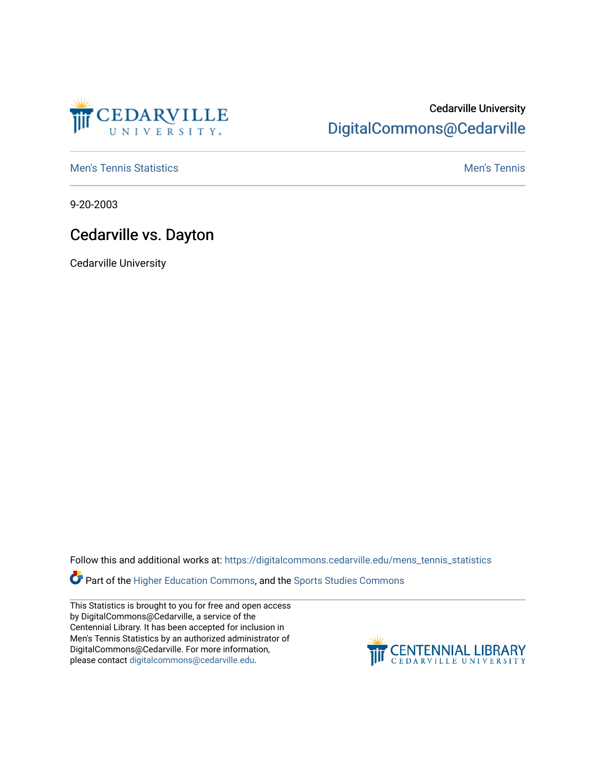

## Cedarville University [DigitalCommons@Cedarville](https://digitalcommons.cedarville.edu/)

**[Men's Tennis Statistics](https://digitalcommons.cedarville.edu/mens_tennis_statistics) Mental According to the Control of Control According Mental Men's Tennis** 

9-20-2003

## Cedarville vs. Dayton

Cedarville University

Follow this and additional works at: [https://digitalcommons.cedarville.edu/mens\\_tennis\\_statistics](https://digitalcommons.cedarville.edu/mens_tennis_statistics?utm_source=digitalcommons.cedarville.edu%2Fmens_tennis_statistics%2F565&utm_medium=PDF&utm_campaign=PDFCoverPages)

**Part of the [Higher Education Commons,](http://network.bepress.com/hgg/discipline/1245?utm_source=digitalcommons.cedarville.edu%2Fmens_tennis_statistics%2F565&utm_medium=PDF&utm_campaign=PDFCoverPages) and the Sports Studies Commons** 

This Statistics is brought to you for free and open access by DigitalCommons@Cedarville, a service of the Centennial Library. It has been accepted for inclusion in Men's Tennis Statistics by an authorized administrator of DigitalCommons@Cedarville. For more information, please contact [digitalcommons@cedarville.edu](mailto:digitalcommons@cedarville.edu).